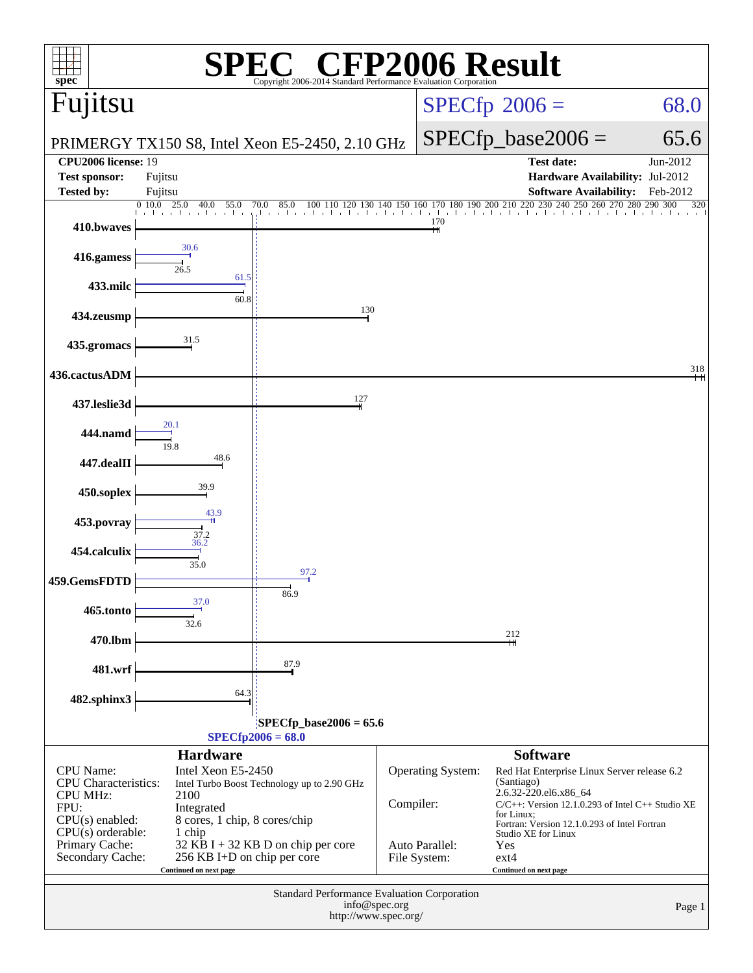| $spec^*$                                                                                                                                                     |                                                                                                                                              | <sup>'®</sup> CFP2006 Result<br>Copyright 2006-2014 Standard Performance Evaluation Corporation |                |                                                            |                                                                                                                                                                                                                                                                               |                 |  |
|--------------------------------------------------------------------------------------------------------------------------------------------------------------|----------------------------------------------------------------------------------------------------------------------------------------------|-------------------------------------------------------------------------------------------------|----------------|------------------------------------------------------------|-------------------------------------------------------------------------------------------------------------------------------------------------------------------------------------------------------------------------------------------------------------------------------|-----------------|--|
| Fujitsu                                                                                                                                                      |                                                                                                                                              |                                                                                                 |                | $SPECfp^{\circ}2006 =$<br>68.0                             |                                                                                                                                                                                                                                                                               |                 |  |
|                                                                                                                                                              | PRIMERGY TX150 S8, Intel Xeon E5-2450, 2.10 GHz                                                                                              |                                                                                                 |                |                                                            | $SPECfp\_base2006 =$                                                                                                                                                                                                                                                          | 65.6            |  |
| <b>CPU2006</b> license: 19                                                                                                                                   |                                                                                                                                              |                                                                                                 |                |                                                            | <b>Test date:</b>                                                                                                                                                                                                                                                             | Jun-2012        |  |
| <b>Test sponsor:</b>                                                                                                                                         | Fujitsu                                                                                                                                      |                                                                                                 |                |                                                            | Hardware Availability: Jul-2012                                                                                                                                                                                                                                               |                 |  |
| <b>Tested by:</b>                                                                                                                                            | Fujitsu<br>0.10.0<br>25.0<br>40.0<br>55.0                                                                                                    | 70.0<br>85.0<br>100 110                                                                         |                |                                                            | <b>Software Availability:</b><br>140 150 160 170 180 190 200 210 220 230 240 250 260 270 280 290 300                                                                                                                                                                          | Feb-2012<br>320 |  |
| 410.bwaves                                                                                                                                                   | the contractor                                                                                                                               | the contractor of the con-                                                                      | and a state of | 170                                                        | أوالموالد والموالموالموالد الموالد الموالد الموالي                                                                                                                                                                                                                            |                 |  |
| 416.gamess                                                                                                                                                   | 30.6<br>26.5                                                                                                                                 |                                                                                                 |                |                                                            |                                                                                                                                                                                                                                                                               |                 |  |
| 433.milc                                                                                                                                                     | 61.5<br>60.8                                                                                                                                 |                                                                                                 |                |                                                            |                                                                                                                                                                                                                                                                               |                 |  |
| 434.zeusmp                                                                                                                                                   |                                                                                                                                              | 130                                                                                             |                |                                                            |                                                                                                                                                                                                                                                                               |                 |  |
| 435.gromacs                                                                                                                                                  | 31.5                                                                                                                                         |                                                                                                 |                |                                                            |                                                                                                                                                                                                                                                                               |                 |  |
| 436.cactusADM                                                                                                                                                |                                                                                                                                              | 127                                                                                             |                |                                                            |                                                                                                                                                                                                                                                                               | 318<br>Ħ        |  |
| 437.leslie3d                                                                                                                                                 | 20.1                                                                                                                                         |                                                                                                 |                |                                                            |                                                                                                                                                                                                                                                                               |                 |  |
| 444.namd<br>447.dealII                                                                                                                                       | 19.8<br>48.6                                                                                                                                 |                                                                                                 |                |                                                            |                                                                                                                                                                                                                                                                               |                 |  |
| 450.soplex                                                                                                                                                   | 39.9                                                                                                                                         |                                                                                                 |                |                                                            |                                                                                                                                                                                                                                                                               |                 |  |
| 453.povray                                                                                                                                                   | 43.9                                                                                                                                         |                                                                                                 |                |                                                            |                                                                                                                                                                                                                                                                               |                 |  |
| 454.calculix                                                                                                                                                 | $\frac{37.2}{36.2}$                                                                                                                          |                                                                                                 |                |                                                            |                                                                                                                                                                                                                                                                               |                 |  |
| 459.GemsFDTD                                                                                                                                                 | 35.0                                                                                                                                         | 97.2                                                                                            |                |                                                            |                                                                                                                                                                                                                                                                               |                 |  |
| 465.tonto                                                                                                                                                    | 37.0<br>32.6                                                                                                                                 | 86.9                                                                                            |                |                                                            |                                                                                                                                                                                                                                                                               |                 |  |
| 470.lbm                                                                                                                                                      |                                                                                                                                              |                                                                                                 |                |                                                            | 212                                                                                                                                                                                                                                                                           |                 |  |
| 481.wrf                                                                                                                                                      |                                                                                                                                              | 87.9                                                                                            |                |                                                            |                                                                                                                                                                                                                                                                               |                 |  |
| 482.sphinx3                                                                                                                                                  | 64.3                                                                                                                                         |                                                                                                 |                |                                                            |                                                                                                                                                                                                                                                                               |                 |  |
|                                                                                                                                                              |                                                                                                                                              | $SPECfp\_base2006 = 65.6$<br>$SPECfp2006 = 68.0$                                                |                |                                                            |                                                                                                                                                                                                                                                                               |                 |  |
|                                                                                                                                                              | <b>Hardware</b>                                                                                                                              |                                                                                                 |                |                                                            | <b>Software</b>                                                                                                                                                                                                                                                               |                 |  |
| <b>CPU</b> Name:<br><b>CPU</b> Characteristics:<br><b>CPU MHz:</b><br>FPU:<br>$CPU(s)$ enabled:<br>$CPU(s)$ orderable:<br>Primary Cache:<br>Secondary Cache: | Intel Xeon E5-2450<br>2100<br>Integrated<br>8 cores, 1 chip, 8 cores/chip<br>1 chip<br>256 KB I+D on chip per core<br>Continued on next page | Intel Turbo Boost Technology up to 2.90 GHz<br>32 KB I + 32 KB D on chip per core               | Compiler:      | <b>Operating System:</b><br>Auto Parallel:<br>File System: | Red Hat Enterprise Linux Server release 6.2<br>(Santiago)<br>2.6.32-220.el6.x86_64<br>$C/C++$ : Version 12.1.0.293 of Intel $C++$ Studio XE<br>for Linux;<br>Fortran: Version 12.1.0.293 of Intel Fortran<br>Studio XE for Linux<br>Yes<br>$ext{4}$<br>Continued on next page |                 |  |
|                                                                                                                                                              |                                                                                                                                              | Standard Performance Evaluation Corporation<br>http://www.spec.org/                             | info@spec.org  |                                                            |                                                                                                                                                                                                                                                                               | Page 1          |  |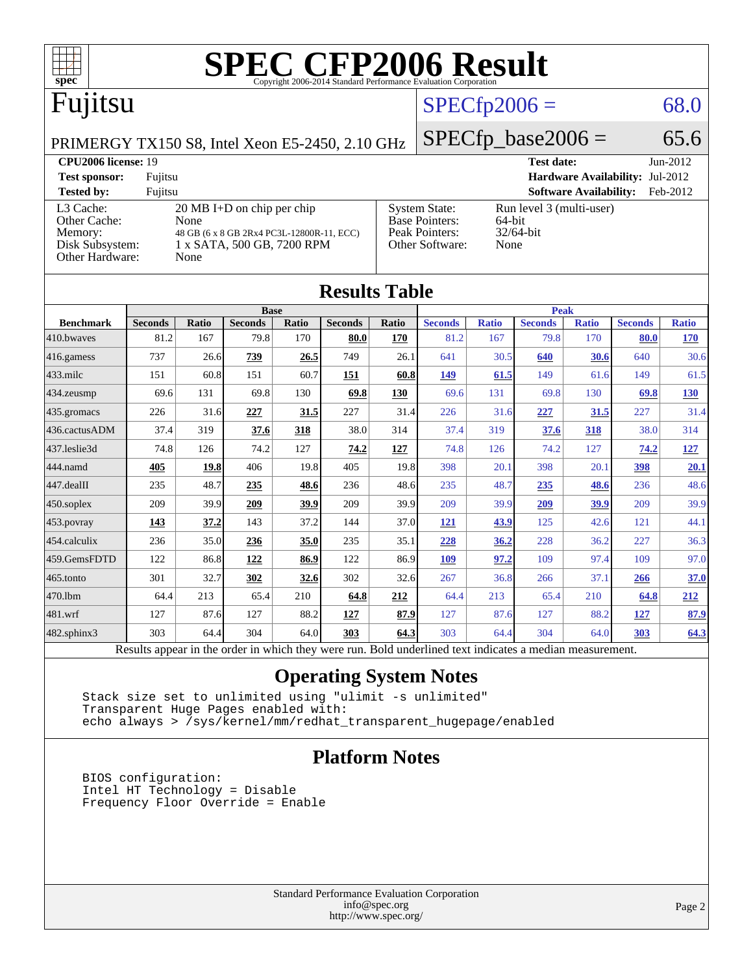

| <b>Results Table</b>   |                                                                                                          |              |                |       |                |       |                |              |                |              |                |              |
|------------------------|----------------------------------------------------------------------------------------------------------|--------------|----------------|-------|----------------|-------|----------------|--------------|----------------|--------------|----------------|--------------|
|                        | <b>Base</b>                                                                                              |              |                |       | <b>Peak</b>    |       |                |              |                |              |                |              |
| <b>Benchmark</b>       | <b>Seconds</b>                                                                                           | <b>Ratio</b> | <b>Seconds</b> | Ratio | <b>Seconds</b> | Ratio | <b>Seconds</b> | <b>Ratio</b> | <b>Seconds</b> | <b>Ratio</b> | <b>Seconds</b> | <b>Ratio</b> |
| 410.bwayes             | 81.2                                                                                                     | 167          | 79.8           | 170   | 80.0           | 170   | 81.2           | 167          | 79.8           | 170          | 80.0           | 170          |
| 416.gamess             | 737                                                                                                      | 26.6         | 739            | 26.5  | 749            | 26.1  | 641            | 30.5         | 640            | 30.6         | 640            | 30.6         |
| $433$ .milc            | 151                                                                                                      | 60.8         | 151            | 60.7  | 151            | 60.8  | 149            | 61.5         | 149            | 61.6         | 149            | 61.5         |
| $434$ . zeusmp         | 69.6                                                                                                     | 131          | 69.8           | 130   | 69.8           | 130   | 69.6           | 131          | 69.8           | 130          | 69.8           | 130          |
| $435.$ gromacs         | 226                                                                                                      | 31.6         | 227            | 31.5  | 227            | 31.4  | 226            | 31.6         | 227            | 31.5         | 227            | 31.4         |
| 436.cactusADM          | 37.4                                                                                                     | 319          | 37.6           | 318   | 38.0           | 314   | 37.4           | 319          | 37.6           | 318          | 38.0           | 314          |
| 437.leslie3d           | 74.8                                                                                                     | 126          | 74.2           | 127   | 74.2           | 127   | 74.8           | 126          | 74.2           | 127          | 74.2           | <u>127</u>   |
| 444.namd               | 405                                                                                                      | 19.8         | 406            | 19.8  | 405            | 19.8  | 398            | 20.1         | 398            | 20.1         | 398            | 20.1         |
| $ 447 \text{.}$ dealII | 235                                                                                                      | 48.7         | 235            | 48.6  | 236            | 48.6  | 235            | 48.7         | 235            | 48.6         | 236            | 48.6         |
| $450$ .soplex          | 209                                                                                                      | 39.9         | 209            | 39.9  | 209            | 39.9  | 209            | 39.9         | 209            | 39.9         | 209            | 39.9         |
| $453$ .povray          | 143                                                                                                      | 37.2         | 143            | 37.2  | 144            | 37.0  | <u>121</u>     | 43.9         | 125            | 42.6         | 121            | 44.1         |
| $ 454$ .calculix       | 236                                                                                                      | 35.0         | 236            | 35.0  | 235            | 35.1  | 228            | 36.2         | 228            | 36.2         | 227            | 36.3         |
| 459.GemsFDTD           | 122                                                                                                      | 86.8         | 122            | 86.9  | 122            | 86.9  | 109            | 97.2         | 109            | 97.4         | 109            | 97.0         |
| $465$ .tonto           | 301                                                                                                      | 32.7         | 302            | 32.6  | 302            | 32.6  | 267            | 36.8         | 266            | 37.1         | 266            | 37.0         |
| 470.1bm                | 64.4                                                                                                     | 213          | 65.4           | 210   | 64.8           | 212   | 64.4           | 213          | 65.4           | 210          | 64.8           | 212          |
| $ 481$ .wrf            | 127                                                                                                      | 87.6         | 127            | 88.2  | 127            | 87.9  | 127            | 87.6         | 127            | 88.2         | 127            | 87.9         |
| $482$ .sphinx $3$      | 303                                                                                                      | 64.4         | 304            | 64.0  | 303            | 64.3  | 303            | 64.4         | 304            | 64.0         | 303            | 64.3         |
|                        | Results appear in the order in which they were run. Bold underlined text indicates a median measurement. |              |                |       |                |       |                |              |                |              |                |              |

### **[Operating System Notes](http://www.spec.org/auto/cpu2006/Docs/result-fields.html#OperatingSystemNotes)**

 Stack size set to unlimited using "ulimit -s unlimited" Transparent Huge Pages enabled with: echo always > /sys/kernel/mm/redhat\_transparent\_hugepage/enabled

### **[Platform Notes](http://www.spec.org/auto/cpu2006/Docs/result-fields.html#PlatformNotes)**

 BIOS configuration: Intel HT Technology = Disable Frequency Floor Override = Enable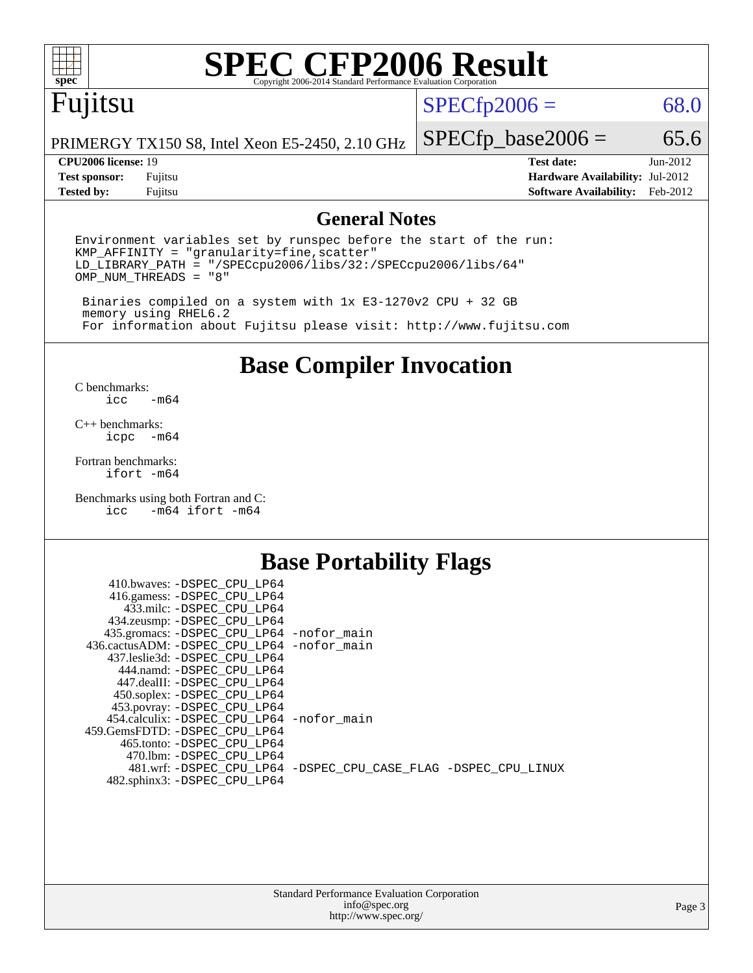

# **[SPEC CFP2006 Result](http://www.spec.org/auto/cpu2006/Docs/result-fields.html#SPECCFP2006Result)**

# Fujitsu

 $SPECfp2006 = 68.0$  $SPECfp2006 = 68.0$ 

PRIMERGY TX150 S8, Intel Xeon E5-2450, 2.10 GHz

**[Test sponsor:](http://www.spec.org/auto/cpu2006/Docs/result-fields.html#Testsponsor)** Fujitsu **[Hardware Availability:](http://www.spec.org/auto/cpu2006/Docs/result-fields.html#HardwareAvailability)** Jul-2012 **[Tested by:](http://www.spec.org/auto/cpu2006/Docs/result-fields.html#Testedby)** Fujitsu **[Software Availability:](http://www.spec.org/auto/cpu2006/Docs/result-fields.html#SoftwareAvailability)** Feb-2012

 $SPECTp\_base2006 = 65.6$ **[CPU2006 license:](http://www.spec.org/auto/cpu2006/Docs/result-fields.html#CPU2006license)** 19 **[Test date:](http://www.spec.org/auto/cpu2006/Docs/result-fields.html#Testdate)** Jun-2012

### **[General Notes](http://www.spec.org/auto/cpu2006/Docs/result-fields.html#GeneralNotes)**

Environment variables set by runspec before the start of the run: KMP\_AFFINITY = "granularity=fine,scatter" LD\_LIBRARY\_PATH = "/SPECcpu2006/libs/32:/SPECcpu2006/libs/64" OMP\_NUM\_THREADS = "8"

 Binaries compiled on a system with 1x E3-1270v2 CPU + 32 GB memory using RHEL6.2 For information about Fujitsu please visit: <http://www.fujitsu.com>

**[Base Compiler Invocation](http://www.spec.org/auto/cpu2006/Docs/result-fields.html#BaseCompilerInvocation)**

 $C$  benchmarks:<br>icc  $-m64$ 

[C++ benchmarks:](http://www.spec.org/auto/cpu2006/Docs/result-fields.html#CXXbenchmarks) [icpc -m64](http://www.spec.org/cpu2006/results/res2012q3/cpu2006-20120810-24086.flags.html#user_CXXbase_intel_icpc_64bit_bedb90c1146cab66620883ef4f41a67e)

[Fortran benchmarks](http://www.spec.org/auto/cpu2006/Docs/result-fields.html#Fortranbenchmarks): [ifort -m64](http://www.spec.org/cpu2006/results/res2012q3/cpu2006-20120810-24086.flags.html#user_FCbase_intel_ifort_64bit_ee9d0fb25645d0210d97eb0527dcc06e)

[Benchmarks using both Fortran and C](http://www.spec.org/auto/cpu2006/Docs/result-fields.html#BenchmarksusingbothFortranandC): [icc -m64](http://www.spec.org/cpu2006/results/res2012q3/cpu2006-20120810-24086.flags.html#user_CC_FCbase_intel_icc_64bit_0b7121f5ab7cfabee23d88897260401c) [ifort -m64](http://www.spec.org/cpu2006/results/res2012q3/cpu2006-20120810-24086.flags.html#user_CC_FCbase_intel_ifort_64bit_ee9d0fb25645d0210d97eb0527dcc06e)

### **[Base Portability Flags](http://www.spec.org/auto/cpu2006/Docs/result-fields.html#BasePortabilityFlags)**

| 410.bwaves: -DSPEC CPU LP64                 |                                                                |
|---------------------------------------------|----------------------------------------------------------------|
| 416.gamess: -DSPEC_CPU_LP64                 |                                                                |
| 433.milc: -DSPEC CPU LP64                   |                                                                |
| 434.zeusmp: -DSPEC_CPU_LP64                 |                                                                |
| 435.gromacs: -DSPEC_CPU_LP64 -nofor_main    |                                                                |
| 436.cactusADM: -DSPEC CPU LP64 -nofor main  |                                                                |
| 437.leslie3d: -DSPEC CPU LP64               |                                                                |
| 444.namd: -DSPEC CPU LP64                   |                                                                |
| 447.dealII: -DSPEC CPU LP64                 |                                                                |
| 450.soplex: -DSPEC_CPU_LP64                 |                                                                |
| 453.povray: -DSPEC_CPU_LP64                 |                                                                |
| 454.calculix: - DSPEC CPU LP64 - nofor main |                                                                |
| 459. GemsFDTD: - DSPEC CPU LP64             |                                                                |
| 465.tonto: - DSPEC CPU LP64                 |                                                                |
| 470.1bm: - DSPEC CPU LP64                   |                                                                |
|                                             | 481.wrf: -DSPEC_CPU_LP64 -DSPEC_CPU_CASE_FLAG -DSPEC_CPU_LINUX |
| 482.sphinx3: -DSPEC_CPU_LP64                |                                                                |
|                                             |                                                                |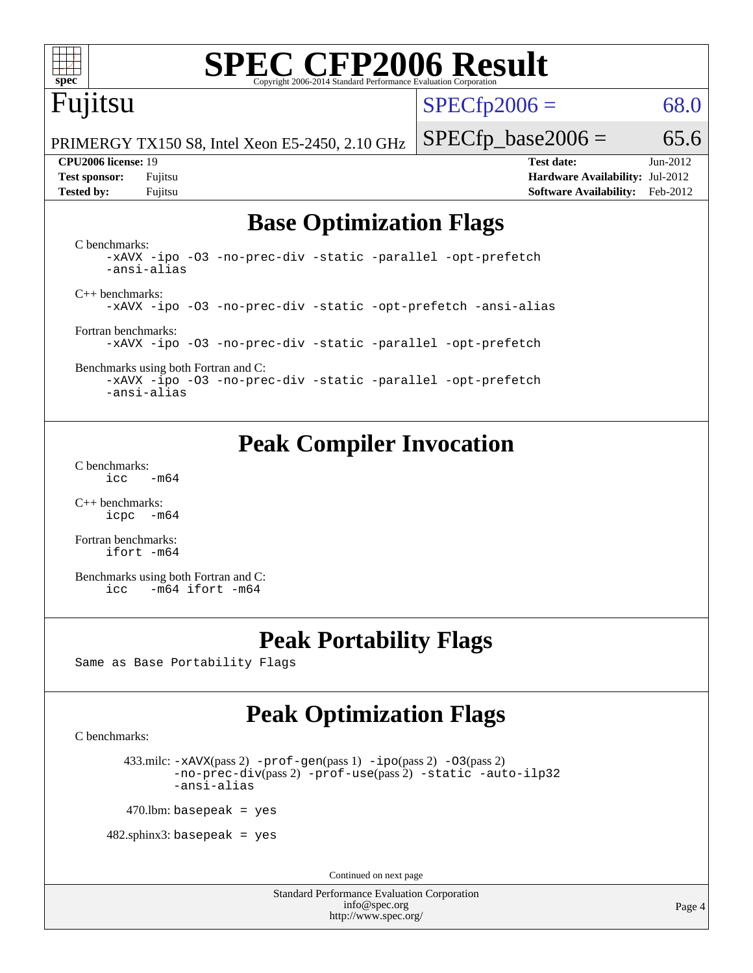

# **[SPEC CFP2006 Result](http://www.spec.org/auto/cpu2006/Docs/result-fields.html#SPECCFP2006Result)**

# Fujitsu

 $SPECfp2006 = 68.0$  $SPECfp2006 = 68.0$ 

PRIMERGY TX150 S8, Intel Xeon E5-2450, 2.10 GHz

**[Tested by:](http://www.spec.org/auto/cpu2006/Docs/result-fields.html#Testedby)** Fujitsu **[Software Availability:](http://www.spec.org/auto/cpu2006/Docs/result-fields.html#SoftwareAvailability)** Feb-2012

 $SPECTp\_base2006 = 65.6$ **[CPU2006 license:](http://www.spec.org/auto/cpu2006/Docs/result-fields.html#CPU2006license)** 19 **[Test date:](http://www.spec.org/auto/cpu2006/Docs/result-fields.html#Testdate)** Jun-2012 **[Test sponsor:](http://www.spec.org/auto/cpu2006/Docs/result-fields.html#Testsponsor)** Fujitsu **[Hardware Availability:](http://www.spec.org/auto/cpu2006/Docs/result-fields.html#HardwareAvailability)** Jul-2012

# **[Base Optimization Flags](http://www.spec.org/auto/cpu2006/Docs/result-fields.html#BaseOptimizationFlags)**

[C benchmarks](http://www.spec.org/auto/cpu2006/Docs/result-fields.html#Cbenchmarks): [-xAVX](http://www.spec.org/cpu2006/results/res2012q3/cpu2006-20120810-24086.flags.html#user_CCbase_f-xAVX) [-ipo](http://www.spec.org/cpu2006/results/res2012q3/cpu2006-20120810-24086.flags.html#user_CCbase_f-ipo) [-O3](http://www.spec.org/cpu2006/results/res2012q3/cpu2006-20120810-24086.flags.html#user_CCbase_f-O3) [-no-prec-div](http://www.spec.org/cpu2006/results/res2012q3/cpu2006-20120810-24086.flags.html#user_CCbase_f-no-prec-div) [-static](http://www.spec.org/cpu2006/results/res2012q3/cpu2006-20120810-24086.flags.html#user_CCbase_f-static) [-parallel](http://www.spec.org/cpu2006/results/res2012q3/cpu2006-20120810-24086.flags.html#user_CCbase_f-parallel) [-opt-prefetch](http://www.spec.org/cpu2006/results/res2012q3/cpu2006-20120810-24086.flags.html#user_CCbase_f-opt-prefetch) [-ansi-alias](http://www.spec.org/cpu2006/results/res2012q3/cpu2006-20120810-24086.flags.html#user_CCbase_f-ansi-alias) [C++ benchmarks:](http://www.spec.org/auto/cpu2006/Docs/result-fields.html#CXXbenchmarks) [-xAVX](http://www.spec.org/cpu2006/results/res2012q3/cpu2006-20120810-24086.flags.html#user_CXXbase_f-xAVX) [-ipo](http://www.spec.org/cpu2006/results/res2012q3/cpu2006-20120810-24086.flags.html#user_CXXbase_f-ipo) [-O3](http://www.spec.org/cpu2006/results/res2012q3/cpu2006-20120810-24086.flags.html#user_CXXbase_f-O3) [-no-prec-div](http://www.spec.org/cpu2006/results/res2012q3/cpu2006-20120810-24086.flags.html#user_CXXbase_f-no-prec-div) [-static](http://www.spec.org/cpu2006/results/res2012q3/cpu2006-20120810-24086.flags.html#user_CXXbase_f-static) [-opt-prefetch](http://www.spec.org/cpu2006/results/res2012q3/cpu2006-20120810-24086.flags.html#user_CXXbase_f-opt-prefetch) [-ansi-alias](http://www.spec.org/cpu2006/results/res2012q3/cpu2006-20120810-24086.flags.html#user_CXXbase_f-ansi-alias) [Fortran benchmarks](http://www.spec.org/auto/cpu2006/Docs/result-fields.html#Fortranbenchmarks): [-xAVX](http://www.spec.org/cpu2006/results/res2012q3/cpu2006-20120810-24086.flags.html#user_FCbase_f-xAVX) [-ipo](http://www.spec.org/cpu2006/results/res2012q3/cpu2006-20120810-24086.flags.html#user_FCbase_f-ipo) [-O3](http://www.spec.org/cpu2006/results/res2012q3/cpu2006-20120810-24086.flags.html#user_FCbase_f-O3) [-no-prec-div](http://www.spec.org/cpu2006/results/res2012q3/cpu2006-20120810-24086.flags.html#user_FCbase_f-no-prec-div) [-static](http://www.spec.org/cpu2006/results/res2012q3/cpu2006-20120810-24086.flags.html#user_FCbase_f-static) [-parallel](http://www.spec.org/cpu2006/results/res2012q3/cpu2006-20120810-24086.flags.html#user_FCbase_f-parallel) [-opt-prefetch](http://www.spec.org/cpu2006/results/res2012q3/cpu2006-20120810-24086.flags.html#user_FCbase_f-opt-prefetch) [Benchmarks using both Fortran and C](http://www.spec.org/auto/cpu2006/Docs/result-fields.html#BenchmarksusingbothFortranandC):

[-xAVX](http://www.spec.org/cpu2006/results/res2012q3/cpu2006-20120810-24086.flags.html#user_CC_FCbase_f-xAVX) [-ipo](http://www.spec.org/cpu2006/results/res2012q3/cpu2006-20120810-24086.flags.html#user_CC_FCbase_f-ipo) [-O3](http://www.spec.org/cpu2006/results/res2012q3/cpu2006-20120810-24086.flags.html#user_CC_FCbase_f-O3) [-no-prec-div](http://www.spec.org/cpu2006/results/res2012q3/cpu2006-20120810-24086.flags.html#user_CC_FCbase_f-no-prec-div) [-static](http://www.spec.org/cpu2006/results/res2012q3/cpu2006-20120810-24086.flags.html#user_CC_FCbase_f-static) [-parallel](http://www.spec.org/cpu2006/results/res2012q3/cpu2006-20120810-24086.flags.html#user_CC_FCbase_f-parallel) [-opt-prefetch](http://www.spec.org/cpu2006/results/res2012q3/cpu2006-20120810-24086.flags.html#user_CC_FCbase_f-opt-prefetch) [-ansi-alias](http://www.spec.org/cpu2006/results/res2012q3/cpu2006-20120810-24086.flags.html#user_CC_FCbase_f-ansi-alias)

# **[Peak Compiler Invocation](http://www.spec.org/auto/cpu2006/Docs/result-fields.html#PeakCompilerInvocation)**

[C benchmarks](http://www.spec.org/auto/cpu2006/Docs/result-fields.html#Cbenchmarks):  $\text{icc}$  -m64

[C++ benchmarks:](http://www.spec.org/auto/cpu2006/Docs/result-fields.html#CXXbenchmarks) [icpc -m64](http://www.spec.org/cpu2006/results/res2012q3/cpu2006-20120810-24086.flags.html#user_CXXpeak_intel_icpc_64bit_bedb90c1146cab66620883ef4f41a67e)

[Fortran benchmarks](http://www.spec.org/auto/cpu2006/Docs/result-fields.html#Fortranbenchmarks): [ifort -m64](http://www.spec.org/cpu2006/results/res2012q3/cpu2006-20120810-24086.flags.html#user_FCpeak_intel_ifort_64bit_ee9d0fb25645d0210d97eb0527dcc06e)

[Benchmarks using both Fortran and C](http://www.spec.org/auto/cpu2006/Docs/result-fields.html#BenchmarksusingbothFortranandC): [icc -m64](http://www.spec.org/cpu2006/results/res2012q3/cpu2006-20120810-24086.flags.html#user_CC_FCpeak_intel_icc_64bit_0b7121f5ab7cfabee23d88897260401c) [ifort -m64](http://www.spec.org/cpu2006/results/res2012q3/cpu2006-20120810-24086.flags.html#user_CC_FCpeak_intel_ifort_64bit_ee9d0fb25645d0210d97eb0527dcc06e)

## **[Peak Portability Flags](http://www.spec.org/auto/cpu2006/Docs/result-fields.html#PeakPortabilityFlags)**

Same as Base Portability Flags

# **[Peak Optimization Flags](http://www.spec.org/auto/cpu2006/Docs/result-fields.html#PeakOptimizationFlags)**

[C benchmarks](http://www.spec.org/auto/cpu2006/Docs/result-fields.html#Cbenchmarks):

433.milc:  $-x$ AVX(pass 2)  $-p$ rof-gen(pass 1)  $-p$ po(pass 2)  $-03$ (pass 2) [-no-prec-div](http://www.spec.org/cpu2006/results/res2012q3/cpu2006-20120810-24086.flags.html#user_peakPASS2_CFLAGSPASS2_LDFLAGS433_milc_f-no-prec-div)(pass 2) [-prof-use](http://www.spec.org/cpu2006/results/res2012q3/cpu2006-20120810-24086.flags.html#user_peakPASS2_CFLAGSPASS2_LDFLAGS433_milc_prof_use_bccf7792157ff70d64e32fe3e1250b55)(pass 2) [-static](http://www.spec.org/cpu2006/results/res2012q3/cpu2006-20120810-24086.flags.html#user_peakOPTIMIZE433_milc_f-static) [-auto-ilp32](http://www.spec.org/cpu2006/results/res2012q3/cpu2006-20120810-24086.flags.html#user_peakCOPTIMIZE433_milc_f-auto-ilp32) [-ansi-alias](http://www.spec.org/cpu2006/results/res2012q3/cpu2006-20120810-24086.flags.html#user_peakCOPTIMIZE433_milc_f-ansi-alias)

 $470$ .lbm: basepeak = yes

 $482$ .sphinx3: basepeak = yes

Continued on next page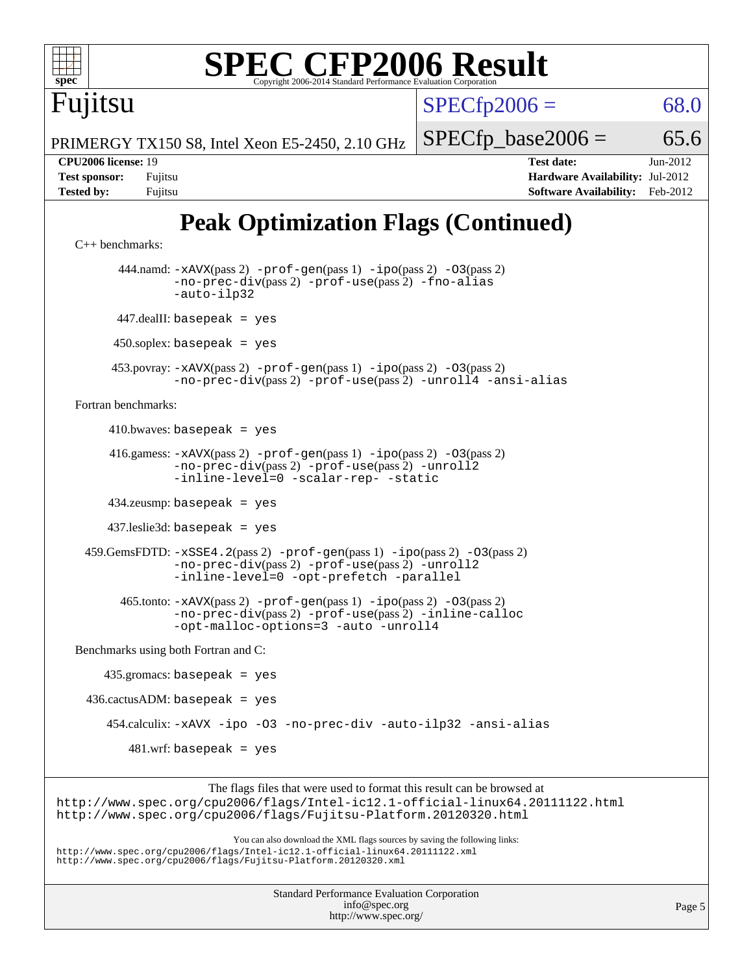

```
Fortran benchmarks:
```
 $410.bwaves: basepeak = yes$ 

 416.gamess: [-xAVX](http://www.spec.org/cpu2006/results/res2012q3/cpu2006-20120810-24086.flags.html#user_peakPASS2_FFLAGSPASS2_LDFLAGS416_gamess_f-xAVX)(pass 2) [-prof-gen](http://www.spec.org/cpu2006/results/res2012q3/cpu2006-20120810-24086.flags.html#user_peakPASS1_FFLAGSPASS1_LDFLAGS416_gamess_prof_gen_e43856698f6ca7b7e442dfd80e94a8fc)(pass 1) [-ipo](http://www.spec.org/cpu2006/results/res2012q3/cpu2006-20120810-24086.flags.html#user_peakPASS2_FFLAGSPASS2_LDFLAGS416_gamess_f-ipo)(pass 2) [-O3](http://www.spec.org/cpu2006/results/res2012q3/cpu2006-20120810-24086.flags.html#user_peakPASS2_FFLAGSPASS2_LDFLAGS416_gamess_f-O3)(pass 2) [-no-prec-div](http://www.spec.org/cpu2006/results/res2012q3/cpu2006-20120810-24086.flags.html#user_peakPASS2_FFLAGSPASS2_LDFLAGS416_gamess_f-no-prec-div)(pass 2) [-prof-use](http://www.spec.org/cpu2006/results/res2012q3/cpu2006-20120810-24086.flags.html#user_peakPASS2_FFLAGSPASS2_LDFLAGS416_gamess_prof_use_bccf7792157ff70d64e32fe3e1250b55)(pass 2) [-unroll2](http://www.spec.org/cpu2006/results/res2012q3/cpu2006-20120810-24086.flags.html#user_peakOPTIMIZE416_gamess_f-unroll_784dae83bebfb236979b41d2422d7ec2) [-inline-level=0](http://www.spec.org/cpu2006/results/res2012q3/cpu2006-20120810-24086.flags.html#user_peakOPTIMIZE416_gamess_f-inline-level_318d07a09274ad25e8d15dbfaa68ba50) [-scalar-rep-](http://www.spec.org/cpu2006/results/res2012q3/cpu2006-20120810-24086.flags.html#user_peakOPTIMIZE416_gamess_f-disablescalarrep_abbcad04450fb118e4809c81d83c8a1d) [-static](http://www.spec.org/cpu2006/results/res2012q3/cpu2006-20120810-24086.flags.html#user_peakOPTIMIZE416_gamess_f-static)

434.zeusmp: basepeak = yes

437.leslie3d: basepeak = yes

 459.GemsFDTD: [-xSSE4.2](http://www.spec.org/cpu2006/results/res2012q3/cpu2006-20120810-24086.flags.html#user_peakPASS2_FFLAGSPASS2_LDFLAGS459_GemsFDTD_f-xSSE42_f91528193cf0b216347adb8b939d4107)(pass 2) [-prof-gen](http://www.spec.org/cpu2006/results/res2012q3/cpu2006-20120810-24086.flags.html#user_peakPASS1_FFLAGSPASS1_LDFLAGS459_GemsFDTD_prof_gen_e43856698f6ca7b7e442dfd80e94a8fc)(pass 1) [-ipo](http://www.spec.org/cpu2006/results/res2012q3/cpu2006-20120810-24086.flags.html#user_peakPASS2_FFLAGSPASS2_LDFLAGS459_GemsFDTD_f-ipo)(pass 2) [-O3](http://www.spec.org/cpu2006/results/res2012q3/cpu2006-20120810-24086.flags.html#user_peakPASS2_FFLAGSPASS2_LDFLAGS459_GemsFDTD_f-O3)(pass 2) [-no-prec-div](http://www.spec.org/cpu2006/results/res2012q3/cpu2006-20120810-24086.flags.html#user_peakPASS2_FFLAGSPASS2_LDFLAGS459_GemsFDTD_f-no-prec-div)(pass 2) [-prof-use](http://www.spec.org/cpu2006/results/res2012q3/cpu2006-20120810-24086.flags.html#user_peakPASS2_FFLAGSPASS2_LDFLAGS459_GemsFDTD_prof_use_bccf7792157ff70d64e32fe3e1250b55)(pass 2) [-unroll2](http://www.spec.org/cpu2006/results/res2012q3/cpu2006-20120810-24086.flags.html#user_peakOPTIMIZE459_GemsFDTD_f-unroll_784dae83bebfb236979b41d2422d7ec2) [-inline-level=0](http://www.spec.org/cpu2006/results/res2012q3/cpu2006-20120810-24086.flags.html#user_peakOPTIMIZE459_GemsFDTD_f-inline-level_318d07a09274ad25e8d15dbfaa68ba50) [-opt-prefetch](http://www.spec.org/cpu2006/results/res2012q3/cpu2006-20120810-24086.flags.html#user_peakOPTIMIZE459_GemsFDTD_f-opt-prefetch) [-parallel](http://www.spec.org/cpu2006/results/res2012q3/cpu2006-20120810-24086.flags.html#user_peakOPTIMIZE459_GemsFDTD_f-parallel)

 465.tonto: [-xAVX](http://www.spec.org/cpu2006/results/res2012q3/cpu2006-20120810-24086.flags.html#user_peakPASS2_FFLAGSPASS2_LDFLAGS465_tonto_f-xAVX)(pass 2) [-prof-gen](http://www.spec.org/cpu2006/results/res2012q3/cpu2006-20120810-24086.flags.html#user_peakPASS1_FFLAGSPASS1_LDFLAGS465_tonto_prof_gen_e43856698f6ca7b7e442dfd80e94a8fc)(pass 1) [-ipo](http://www.spec.org/cpu2006/results/res2012q3/cpu2006-20120810-24086.flags.html#user_peakPASS2_FFLAGSPASS2_LDFLAGS465_tonto_f-ipo)(pass 2) [-O3](http://www.spec.org/cpu2006/results/res2012q3/cpu2006-20120810-24086.flags.html#user_peakPASS2_FFLAGSPASS2_LDFLAGS465_tonto_f-O3)(pass 2) [-no-prec-div](http://www.spec.org/cpu2006/results/res2012q3/cpu2006-20120810-24086.flags.html#user_peakPASS2_FFLAGSPASS2_LDFLAGS465_tonto_f-no-prec-div)(pass 2) [-prof-use](http://www.spec.org/cpu2006/results/res2012q3/cpu2006-20120810-24086.flags.html#user_peakPASS2_FFLAGSPASS2_LDFLAGS465_tonto_prof_use_bccf7792157ff70d64e32fe3e1250b55)(pass 2) [-inline-calloc](http://www.spec.org/cpu2006/results/res2012q3/cpu2006-20120810-24086.flags.html#user_peakOPTIMIZE465_tonto_f-inline-calloc) [-opt-malloc-options=3](http://www.spec.org/cpu2006/results/res2012q3/cpu2006-20120810-24086.flags.html#user_peakOPTIMIZE465_tonto_f-opt-malloc-options_13ab9b803cf986b4ee62f0a5998c2238) [-auto](http://www.spec.org/cpu2006/results/res2012q3/cpu2006-20120810-24086.flags.html#user_peakOPTIMIZE465_tonto_f-auto) [-unroll4](http://www.spec.org/cpu2006/results/res2012q3/cpu2006-20120810-24086.flags.html#user_peakOPTIMIZE465_tonto_f-unroll_4e5e4ed65b7fd20bdcd365bec371b81f)

[Benchmarks using both Fortran and C](http://www.spec.org/auto/cpu2006/Docs/result-fields.html#BenchmarksusingbothFortranandC):

 435.gromacs: basepeak = yes  $436.cactusADM: basepeak = yes$  454.calculix: [-xAVX](http://www.spec.org/cpu2006/results/res2012q3/cpu2006-20120810-24086.flags.html#user_peakOPTIMIZE454_calculix_f-xAVX) [-ipo](http://www.spec.org/cpu2006/results/res2012q3/cpu2006-20120810-24086.flags.html#user_peakOPTIMIZE454_calculix_f-ipo) [-O3](http://www.spec.org/cpu2006/results/res2012q3/cpu2006-20120810-24086.flags.html#user_peakOPTIMIZE454_calculix_f-O3) [-no-prec-div](http://www.spec.org/cpu2006/results/res2012q3/cpu2006-20120810-24086.flags.html#user_peakOPTIMIZE454_calculix_f-no-prec-div) [-auto-ilp32](http://www.spec.org/cpu2006/results/res2012q3/cpu2006-20120810-24086.flags.html#user_peakCOPTIMIZE454_calculix_f-auto-ilp32) [-ansi-alias](http://www.spec.org/cpu2006/results/res2012q3/cpu2006-20120810-24086.flags.html#user_peakCOPTIMIZE454_calculix_f-ansi-alias)  $481.wrf:$  basepeak = yes

The flags files that were used to format this result can be browsed at <http://www.spec.org/cpu2006/flags/Intel-ic12.1-official-linux64.20111122.html> <http://www.spec.org/cpu2006/flags/Fujitsu-Platform.20120320.html>

You can also download the XML flags sources by saving the following links: <http://www.spec.org/cpu2006/flags/Intel-ic12.1-official-linux64.20111122.xml> <http://www.spec.org/cpu2006/flags/Fujitsu-Platform.20120320.xml>